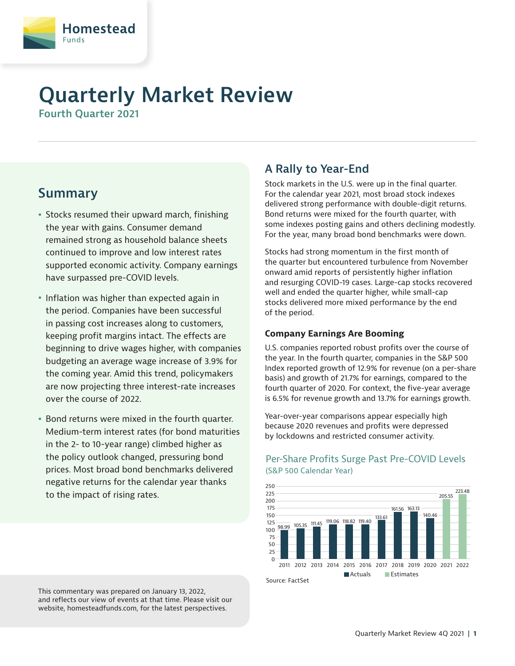

# **Quarterly Market Review**

**Fourth Quarter 2021**

## **Summary**

- Stocks resumed their upward march, finishing the year with gains. Consumer demand remained strong as household balance sheets continued to improve and low interest rates supported economic activity. Company earnings have surpassed pre-COVID levels.
- Inflation was higher than expected again in the period. Companies have been successful in passing cost increases along to customers, keeping profit margins intact. The effects are beginning to drive wages higher, with companies budgeting an average wage increase of 3.9% for the coming year. Amid this trend, policymakers are now projecting three interest-rate increases over the course of 2022.
- Bond returns were mixed in the fourth quarter. Medium-term interest rates (for bond maturities in the 2- to 10-year range) climbed higher as the policy outlook changed, pressuring bond prices. Most broad bond benchmarks delivered negative returns for the calendar year thanks to the impact of rising rates.

This commentary was prepared on January 13, 2022, and reflects our view of events at that time. Please visit our website, homesteadfunds.com, for the latest perspectives.

### **A Rally to Year-End**

Stock markets in the U.S. were up in the final quarter. For the calendar year 2021, most broad stock indexes delivered strong performance with double-digit returns. Bond returns were mixed for the fourth quarter, with some indexes posting gains and others declining modestly. For the year, many broad bond benchmarks were down.

Stocks had strong momentum in the first month of the quarter but encountered turbulence from November onward amid reports of persistently higher inflation and resurging COVID-19 cases. Large-cap stocks recovered well and ended the quarter higher, while small-cap stocks delivered more mixed performance by the end of the period.

#### **Company Earnings Are Booming**

U.S. companies reported robust profits over the course of the year. In the fourth quarter, companies in the S&P 500 Index reported growth of 12.9% for revenue (on a per-share basis) and growth of 21.7% for earnings, compared to the fourth quarter of 2020. For context, the five-year average is 6.5% for revenue growth and 13.7% for earnings growth.

Year-over-year comparisons appear especially high because 2020 revenues and profits were depressed by lockdowns and restricted consumer activity.



#### Per-Share Profits Surge Past Pre-COVID Levels (S&P 500 Calendar Year)

Source: FactSet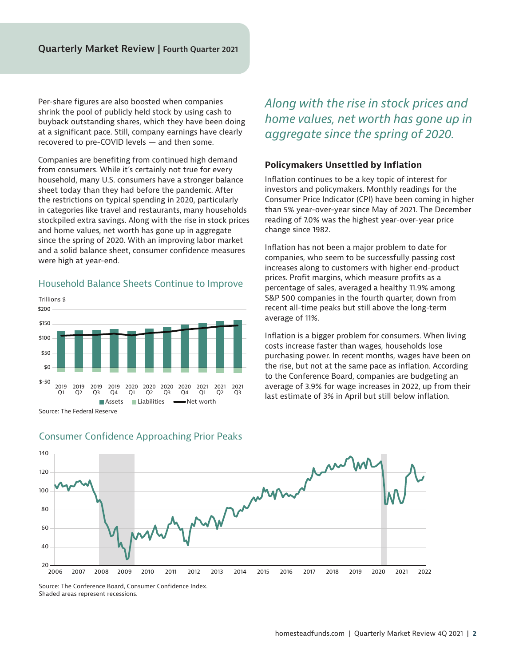Per-share figures are also boosted when companies shrink the pool of publicly held stock by using cash to buyback outstanding shares, which they have been doing at a significant pace. Still, company earnings have clearly recovered to pre-COVID levels — and then some.

Companies are benefiting from continued high demand from consumers. While it's certainly not true for every household, many U.S. consumers have a stronger balance sheet today than they had before the pandemic. After the restrictions on typical spending in 2020, particularly in categories like travel and restaurants, many households stockpiled extra savings. Along with the rise in stock prices and home values, net worth has gone up in aggregate since the spring of 2020. With an improving labor market and a solid balance sheet, consumer confidence measures were high at year-end.

#### Household Balance Sheets Continue to Improve



Source: The Federal Reserve

### *Along with the rise in stock prices and home values, net worth has gone up in aggregate since the spring of 2020.*

#### **Policymakers Unsettled by Inflation**

Inflation continues to be a key topic of interest for investors and policymakers. Monthly readings for the Consumer Price Indicator (CPI) have been coming in higher than 5% year-over-year since May of 2021. The December reading of 7.0% was the highest year-over-year price change since 1982.

Inflation has not been a major problem to date for companies, who seem to be successfully passing cost increases along to customers with higher end-product prices. Profit margins, which measure profits as a percentage of sales, averaged a healthy 11.9% among S&P 500 companies in the fourth quarter, down from recent all-time peaks but still above the long-term average of 11%.

Inflation is a bigger problem for consumers. When living costs increase faster than wages, households lose purchasing power. In recent months, wages have been on the rise, but not at the same pace as inflation. According to the Conference Board, companies are budgeting an average of 3.9% for wage increases in 2022, up from their last estimate of 3% in April but still below inflation.



#### Consumer Confidence Approaching Prior Peaks

Source: The Conference Board, Consumer Confidence Index. Shaded areas represent recessions.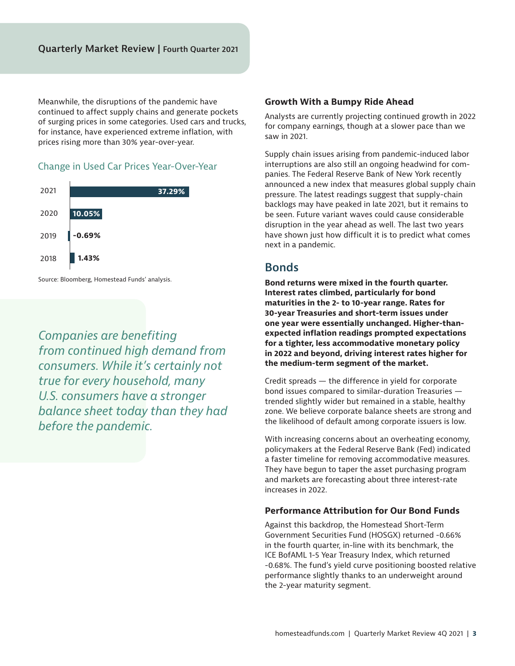Meanwhile, the disruptions of the pandemic have continued to affect supply chains and generate pockets of surging prices in some categories. Used cars and trucks, for instance, have experienced extreme inflation, with prices rising more than 30% year-over-year.

#### Change in Used Car Prices Year-Over-Year



Source: Bloomberg, Homestead Funds' analysis.

*Companies are benefiting from continued high demand from consumers. While it's certainly not true for every household, many U.S. consumers have a stronger balance sheet today than they had before the pandemic.* 

#### **Growth With a Bumpy Ride Ahead**

Analysts are currently projecting continued growth in 2022 for company earnings, though at a slower pace than we saw in 2021.

Supply chain issues arising from pandemic-induced labor interruptions are also still an ongoing headwind for companies. The Federal Reserve Bank of New York recently announced a new index that measures global supply chain pressure. The latest readings suggest that supply-chain backlogs may have peaked in late 2021, but it remains to be seen. Future variant waves could cause considerable disruption in the year ahead as well. The last two years have shown just how difficult it is to predict what comes next in a pandemic.

#### **Bonds**

**Bond returns were mixed in the fourth quarter. Interest rates climbed, particularly for bond maturities in the 2- to 10-year range. Rates for 30-year Treasuries and short-term issues under one year were essentially unchanged. Higher-thanexpected inflation readings prompted expectations for a tighter, less accommodative monetary policy in 2022 and beyond, driving interest rates higher for the medium-term segment of the market.** 

Credit spreads — the difference in yield for corporate bond issues compared to similar-duration Treasuries trended slightly wider but remained in a stable, healthy zone. We believe corporate balance sheets are strong and the likelihood of default among corporate issuers is low.

With increasing concerns about an overheating economy, policymakers at the Federal Reserve Bank (Fed) indicated a faster timeline for removing accommodative measures. They have begun to taper the asset purchasing program and markets are forecasting about three interest-rate increases in 2022.

#### **Performance Attribution for Our Bond Funds**

Against this backdrop, the Homestead Short-Term Government Securities Fund (HOSGX) returned -0.66% in the fourth quarter, in-line with its benchmark, the ICE BofAML 1-5 Year Treasury Index, which returned -0.68%. The fund's yield curve positioning boosted relative performance slightly thanks to an underweight around the 2-year maturity segment.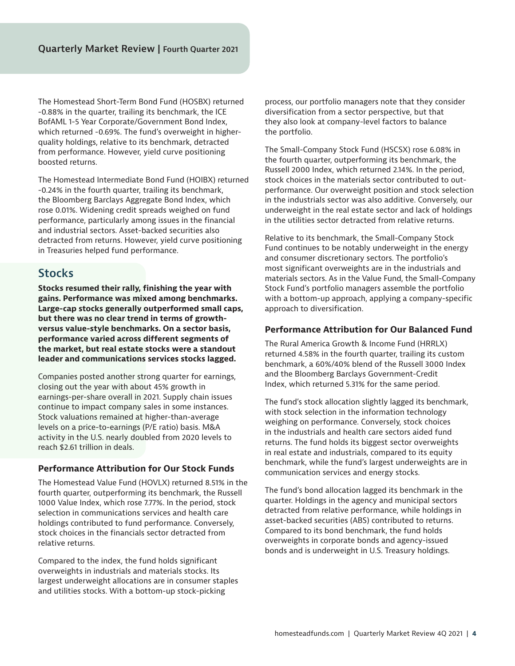The Homestead Short-Term Bond Fund (HOSBX) returned -0.88% in the quarter, trailing its benchmark, the ICE BofAML 1-5 Year Corporate/Government Bond Index, which returned -0.69%. The fund's overweight in higherquality holdings, relative to its benchmark, detracted from performance. However, yield curve positioning boosted returns.

The Homestead Intermediate Bond Fund (HOIBX) returned -0.24% in the fourth quarter, trailing its benchmark, the Bloomberg Barclays Aggregate Bond Index, which rose 0.01%. Widening credit spreads weighed on fund performance, particularly among issues in the financial and industrial sectors. Asset-backed securities also detracted from returns. However, yield curve positioning in Treasuries helped fund performance.

### **Stocks**

**Stocks resumed their rally, finishing the year with gains. Performance was mixed among benchmarks. Large-cap stocks generally outperformed small caps, but there was no clear trend in terms of growthversus value-style benchmarks. On a sector basis, performance varied across different segments of the market, but real estate stocks were a standout leader and communications services stocks lagged.**

Companies posted another strong quarter for earnings, closing out the year with about 45% growth in earnings-per-share overall in 2021. Supply chain issues continue to impact company sales in some instances. Stock valuations remained at higher-than-average levels on a price-to-earnings (P/E ratio) basis. M&A activity in the U.S. nearly doubled from 2020 levels to reach \$2.61 trillion in deals.

#### **Performance Attribution for Our Stock Funds**

The Homestead Value Fund (HOVLX) returned 8.51% in the fourth quarter, outperforming its benchmark, the Russell 1000 Value Index, which rose 7.77%. In the period, stock selection in communications services and health care holdings contributed to fund performance. Conversely, stock choices in the financials sector detracted from relative returns.

Compared to the index, the fund holds significant overweights in industrials and materials stocks. Its largest underweight allocations are in consumer staples and utilities stocks. With a bottom-up stock-picking

process, our portfolio managers note that they consider diversification from a sector perspective, but that they also look at company-level factors to balance the portfolio.

The Small-Company Stock Fund (HSCSX) rose 6.08% in the fourth quarter, outperforming its benchmark, the Russell 2000 Index, which returned 2.14%. In the period, stock choices in the materials sector contributed to outperformance. Our overweight position and stock selection in the industrials sector was also additive. Conversely, our underweight in the real estate sector and lack of holdings in the utilities sector detracted from relative returns.

Relative to its benchmark, the Small-Company Stock Fund continues to be notably underweight in the energy and consumer discretionary sectors. The portfolio's most significant overweights are in the industrials and materials sectors. As in the Value Fund, the Small-Company Stock Fund's portfolio managers assemble the portfolio with a bottom-up approach, applying a company-specific approach to diversification.

#### **Performance Attribution for Our Balanced Fund**

The Rural America Growth & Income Fund (HRRLX) returned 4.58% in the fourth quarter, trailing its custom benchmark, a 60%/40% blend of the Russell 3000 Index and the Bloomberg Barclays Government-Credit Index, which returned 5.31% for the same period.

The fund's stock allocation slightly lagged its benchmark, with stock selection in the information technology weighing on performance. Conversely, stock choices in the industrials and health care sectors aided fund returns. The fund holds its biggest sector overweights in real estate and industrials, compared to its equity benchmark, while the fund's largest underweights are in communication services and energy stocks.

The fund's bond allocation lagged its benchmark in the quarter. Holdings in the agency and municipal sectors detracted from relative performance, while holdings in asset-backed securities (ABS) contributed to returns. Compared to its bond benchmark, the fund holds overweights in corporate bonds and agency-issued bonds and is underweight in U.S. Treasury holdings.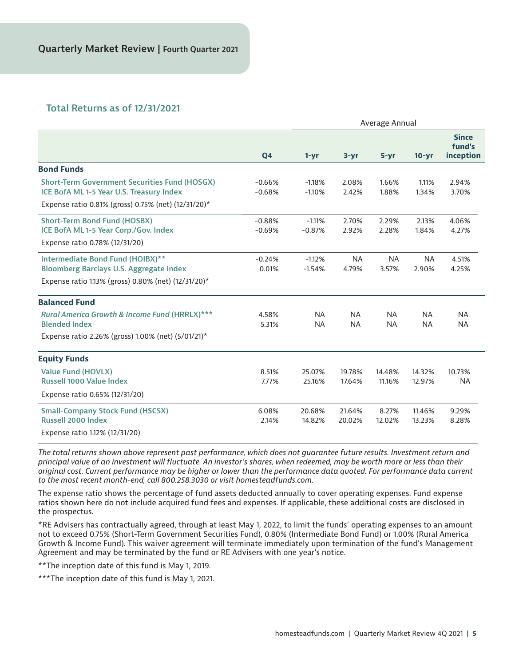#### **Total Returns as of 12/31/2021**

|                                                                                                                                           | Q4                   | Average Annual         |                        |                        |                        |                                     |
|-------------------------------------------------------------------------------------------------------------------------------------------|----------------------|------------------------|------------------------|------------------------|------------------------|-------------------------------------|
|                                                                                                                                           |                      | $1 - yr$               | $3 - yr$               | $5 - yr$               | $10 - yr$              | <b>Since</b><br>fund's<br>inception |
| <b>Bond Funds</b>                                                                                                                         |                      |                        |                        |                        |                        |                                     |
| <b>Short-Term Government Securities Fund (HOSGX)</b><br>ICE BofA ML 1-5 Year U.S. Treasury Index                                          | $-0.66%$<br>$-0.68%$ | $-1.18%$<br>$-1.10%$   | 2.08%<br>2.42%         | 1.66%<br>1.88%         | 1.11%<br>1.34%         | 2.94%<br>3.70%                      |
| Expense ratio 0.81% (gross) 0.75% (net) (12/31/20)*                                                                                       |                      |                        |                        |                        |                        |                                     |
| <b>Short-Term Bond Fund (HOSBX)</b><br>ICE BofA ML 1-5 Year Corp./Gov. Index<br>Expense ratio 0.78% (12/31/20)                            | $-0.88%$<br>$-0.69%$ | $-1.11%$<br>$-0.87%$   | 2.70%<br>2.92%         | 2.29%<br>2.28%         | 2.13%<br>1.84%         | 4.06%<br>4.27%                      |
| Intermediate Bond Fund (HOIBX)**<br><b>Bloomberg Barclays U.S. Aggregate Index</b><br>Expense ratio 1.13% (gross) 0.80% (net) (12/31/20)* | $-0.24%$<br>0.01%    | $-1.12%$<br>$-1.54%$   | <b>NA</b><br>4.79%     | <b>NA</b><br>3.57%     | <b>NA</b><br>2.90%     | 4.51%<br>4.25%                      |
| <b>Balanced Fund</b>                                                                                                                      |                      |                        |                        |                        |                        |                                     |
| <b>Rural America Growth &amp; Income Fund (HRRLX)***</b><br><b>Blended Index</b>                                                          | 4.58%<br>5.31%       | <b>NA</b><br><b>NA</b> | <b>NA</b><br><b>NA</b> | <b>NA</b><br><b>NA</b> | <b>NA</b><br><b>NA</b> | <b>NA</b><br><b>NA</b>              |
| Expense ratio 2.26% (gross) 1.00% (net) (5/01/21)*                                                                                        |                      |                        |                        |                        |                        |                                     |
| <b>Equity Funds</b>                                                                                                                       |                      |                        |                        |                        |                        |                                     |
| <b>Value Fund (HOVLX)</b><br><b>Russell 1000 Value Index</b>                                                                              | 8.51%<br>7.77%       | 25.07%<br>25.16%       | 19.78%<br>17.64%       | 14.48%<br>11.16%       | 14.32%<br>12.97%       | 10.73%<br><b>NA</b>                 |
| Expense ratio 0.65% (12/31/20)                                                                                                            |                      |                        |                        |                        |                        |                                     |
| <b>Small-Company Stock Fund (HSCSX)</b><br><b>Russell 2000 Index</b>                                                                      | 6.08%<br>2.14%       | 20.68%<br>14.82%       | 21.64%<br>20.02%       | 8.27%<br>12.02%        | 11.46%<br>13.23%       | 9.29%<br>8.28%                      |
| Expense ratio 1.12% (12/31/20)                                                                                                            |                      |                        |                        |                        |                        |                                     |

*The total returns shown above represent past performance, which does not guarantee future results. Investment return and principal value of an investment will fluctuate. An investor's shares, when redeemed, may be worth more or less than their original cost. Current performance may be higher or lower than the performance data quoted. For performance data current to the most recent month-end, call 800.258.3030 or visit homesteadfunds.com.*

The expense ratio shows the percentage of fund assets deducted annually to cover operating expenses. Fund expense ratios shown here do not include acquired fund fees and expenses. If applicable, these additional costs are disclosed in the prospectus.

\*RE Advisers has contractually agreed, through at least May 1, 2022, to limit the funds' operating expenses to an amount not to exceed 0.75% (Short-Term Government Securities Fund), 0.80% (Intermediate Bond Fund) or 1.00% (Rural America Growth & Income Fund). This waiver agreement will terminate immediately upon termination of the fund's Management Agreement and may be terminated by the fund or RE Advisers with one year's notice.

\*\*The inception date of this fund is May 1, 2019.

\*\*\*The inception date of this fund is May 1, 2021.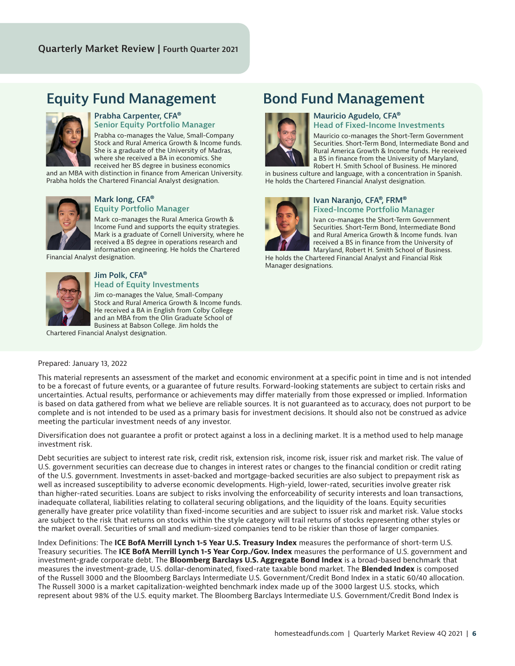## **Equity Fund Management Bond Fund Management**



#### **Prabha Carpenter, CFA® Senior Equity Portfolio Manager**

Prabha co-manages the Value, Small-Company Stock and Rural America Growth & Income funds. She is a graduate of the University of Madras, where she received a BA in economics. She received her BS degree in business economics

and an MBA with distinction in finance from American University. Prabha holds the Chartered Financial Analyst designation.



#### **Mark Iong, CFA® Equity Portfolio Manager**

Mark co-manages the Rural America Growth & Income Fund and supports the equity strategies. Mark is a graduate of Cornell University, where he received a BS degree in operations research and information engineering. He holds the Chartered

Financial Analyst designation.



#### **Jim Polk, CFA® Head of Equity Investments**

Jim co-manages the Value, Small-Company Stock and Rural America Growth & Income funds. He received a BA in English from Colby College and an MBA from the Olin Graduate School of Business at Babson College. Jim holds the

Chartered Financial Analyst designation.



#### **Mauricio Agudelo, CFA® Head of Fixed-Income Investments**

Mauricio co-manages the Short-Term Government Securities. Short-Term Bond, Intermediate Bond and Rural America Growth & Income funds. He received a BS in finance from the University of Maryland, Robert H. Smith School of Business. He minored

in business culture and language, with a concentration in Spanish. He holds the Chartered Financial Analyst designation.



#### **Ivan Naranjo, CFA®, FRM® Fixed-Income Portfolio Manager**

Ivan co-manages the Short-Term Government Securities. Short-Term Bond, Intermediate Bond and Rural America Growth & Income funds. Ivan received a BS in finance from the University of Maryland, Robert H. Smith School of Business.

He holds the Chartered Financial Analyst and Financial Risk Manager designations.

#### Prepared: January 13, 2022

This material represents an assessment of the market and economic environment at a specific point in time and is not intended to be a forecast of future events, or a guarantee of future results. Forward-looking statements are subject to certain risks and uncertainties. Actual results, performance or achievements may differ materially from those expressed or implied. Information is based on data gathered from what we believe are reliable sources. It is not guaranteed as to accuracy, does not purport to be complete and is not intended to be used as a primary basis for investment decisions. It should also not be construed as advice meeting the particular investment needs of any investor.

Diversification does not guarantee a profit or protect against a loss in a declining market. It is a method used to help manage investment risk.

Debt securities are subject to interest rate risk, credit risk, extension risk, income risk, issuer risk and market risk. The value of U.S. government securities can decrease due to changes in interest rates or changes to the financial condition or credit rating of the U.S. government. Investments in asset-backed and mortgage-backed securities are also subject to prepayment risk as well as increased susceptibility to adverse economic developments. High-yield, lower-rated, securities involve greater risk than higher-rated securities. Loans are subject to risks involving the enforceability of security interests and loan transactions, inadequate collateral, liabilities relating to collateral securing obligations, and the liquidity of the loans. Equity securities generally have greater price volatility than fixed-income securities and are subject to issuer risk and market risk. Value stocks are subject to the risk that returns on stocks within the style category will trail returns of stocks representing other styles or the market overall. Securities of small and medium-sized companies tend to be riskier than those of larger companies.

Index Definitions: The **ICE BofA Merrill Lynch 1-5 Year U.S. Treasury Index** measures the performance of short-term U.S. Treasury securities. The **ICE BofA Merrill Lynch 1-5 Year Corp./Gov. Index** measures the performance of U.S. government and investment-grade corporate debt. The **Bloomberg Barclays U.S. Aggregate Bond Index** is a broad-based benchmark that measures the investment-grade, U.S. dollar-denominated, fixed-rate taxable bond market. The **Blended Index** is composed of the Russell 3000 and the Bloomberg Barclays Intermediate U.S. Government/Credit Bond Index in a static 60/40 allocation. The Russell 3000 is a market capitalization-weighted benchmark index made up of the 3000 largest U.S. stocks, which represent about 98% of the U.S. equity market. The Bloomberg Barclays Intermediate U.S. Government/Credit Bond Index is